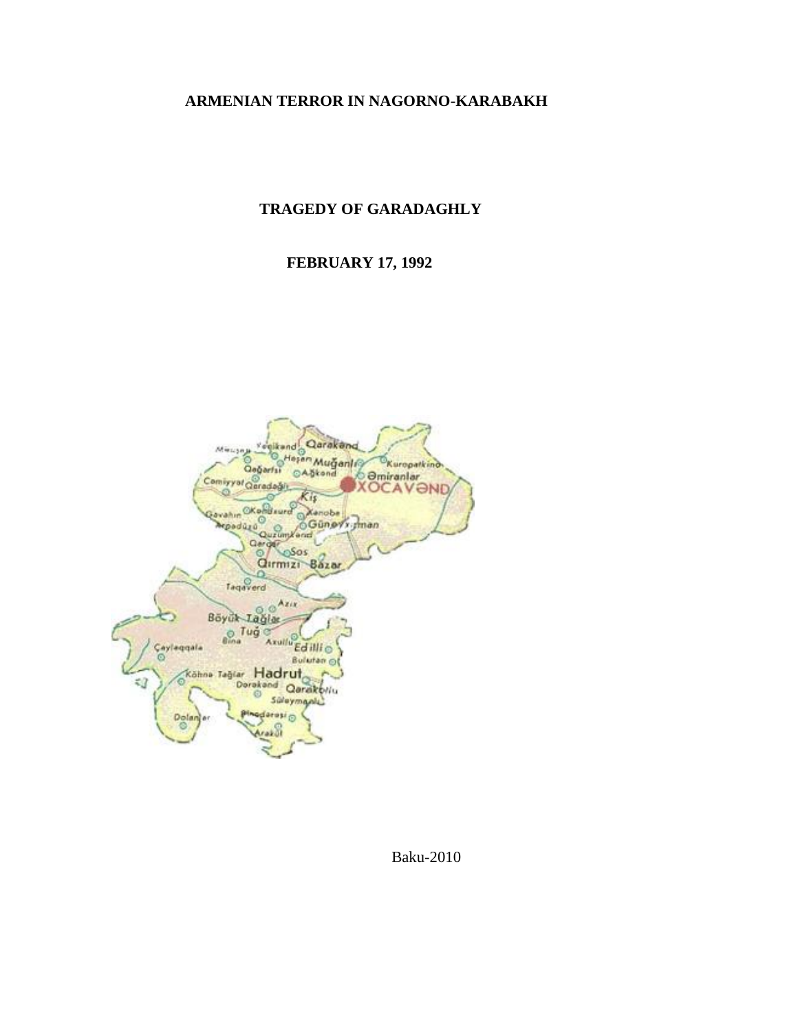### **ARMENIAN TERROR IN NAGORNO-KARABAKH**

# **TRAGEDY OF GARADAGHLY**

## **FEBRUARY 17, 1992**

Qarakan **ikand** Muğanl Kuropatkin Qağarfsi F3 Abkone *<u>Omiranlar</u>* Comiyyal Qaradoğ A VOND Ciki prahir **Anobe** O Günevi man geedûsû O. **Garger OSOS** Ö Qırmızı Bazar Taqaverd Azis 6 Böyük Tağlar yük Iağlı<br><sup>© Tuğ</sup> Axullu Cayleggala<br>O Edillio Bulartan<sub>Ol</sub> Köhne Tağlar Hadrut, Derakand Qarakbriu ₹Ω Süleymanlı Dola

Baku-2010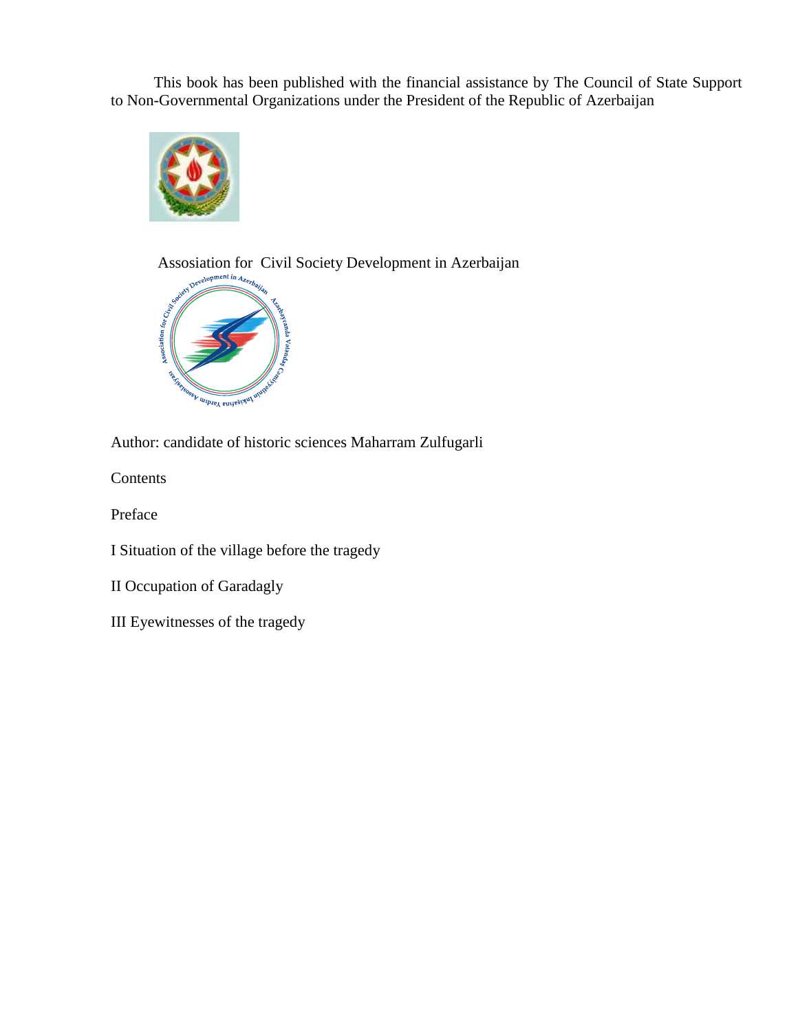This book has been published with the financial assistance by The Council of State Support to Non-Governmental Organizations under the President of the Republic of Azerbaijan



Assosiation for Civil Society Development in Azerbaijan  $\mathcal{P}_{\text{cycy}_1}$ 



Author: candidate of historic sciences Maharram Zulfugarli

Contents

Preface

I Situation of the village before the tragedy

II Occupation of Garadagly

III Eyewitnesses of the tragedy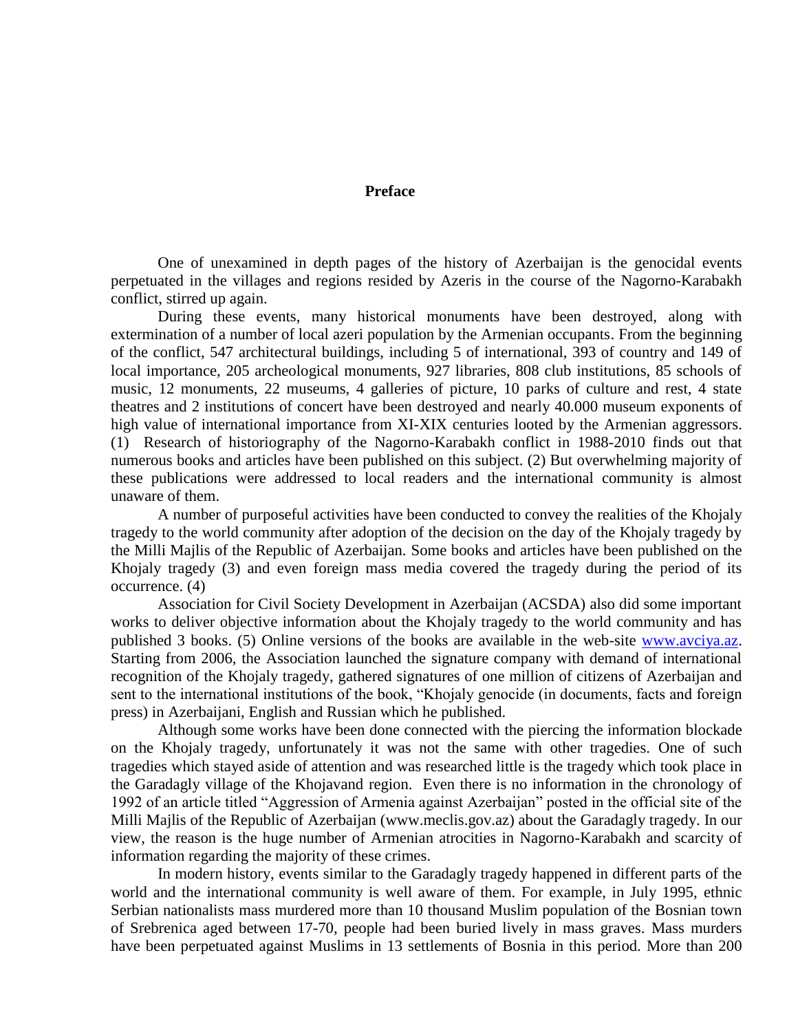**Preface**

One of unexamined in depth pages of the history of Azerbaijan is the genocidal events perpetuated in the villages and regions resided by Azeris in the course of the Nagorno-Karabakh conflict, stirred up again.

During these events, many historical monuments have been destroyed, along with extermination of a number of local azeri population by the Armenian occupants. From the beginning of the conflict, 547 architectural buildings, including 5 of international, 393 of country and 149 of local importance, 205 archeological monuments, 927 libraries, 808 club institutions, 85 schools of music, 12 monuments, 22 museums, 4 galleries of picture, 10 parks of culture and rest, 4 state theatres and 2 institutions of concert have been destroyed and nearly 40.000 museum exponents of high value of international importance from XI-XIX centuries looted by the Armenian aggressors. (1) Research of historiography of the Nagorno-Karabakh conflict in 1988-2010 finds out that numerous books and articles have been published on this subject. (2) But overwhelming majority of these publications were addressed to local readers and the international community is almost unaware of them.

A number of purposeful activities have been conducted to convey the realities of the Khojaly tragedy to the world community after adoption of the decision on the day of the Khojaly tragedy by the Milli Majlis of the Republic of Azerbaijan. Some books and articles have been published on the Khojaly tragedy (3) and even foreign mass media covered the tragedy during the period of its occurrence. (4)

Association for Civil Society Development in Azerbaijan (ACSDA) also did some important works to deliver objective information about the Khojaly tragedy to the world community and has published 3 books. (5) Online versions of the books are available in the web-site [www.avciya.az.](http://www.avciya.az/) Starting from 2006, the Association launched the signature company with demand of international recognition of the Khojaly tragedy, gathered signatures of one million of citizens of Azerbaijan and sent to the international institutions of the book, "Khojaly genocide (in documents, facts and foreign press) in Azerbaijani, English and Russian which he published.

Although some works have been done connected with the piercing the information blockade on the Khojaly tragedy, unfortunately it was not the same with other tragedies. One of such tragedies which stayed aside of attention and was researched little is the tragedy which took place in the Garadagly village of the Khojavand region. Even there is no information in the chronology of 1992 of an article titled "Aggression of Armenia against Azerbaijan" posted in the official site of the Milli Majlis of the Republic of Azerbaijan (www.meclis.gov.az) about the Garadagly tragedy. In our view, the reason is the huge number of Armenian atrocities in Nagorno-Karabakh and scarcity of information regarding the majority of these crimes.

In modern history, events similar to the Garadagly tragedy happened in different parts of the world and the international community is well aware of them. For example, in July 1995, ethnic Serbian nationalists mass murdered more than 10 thousand Muslim population of the Bosnian town of Srebrenica aged between 17-70, people had been buried lively in mass graves. Mass murders have been perpetuated against Muslims in 13 settlements of Bosnia in this period. More than 200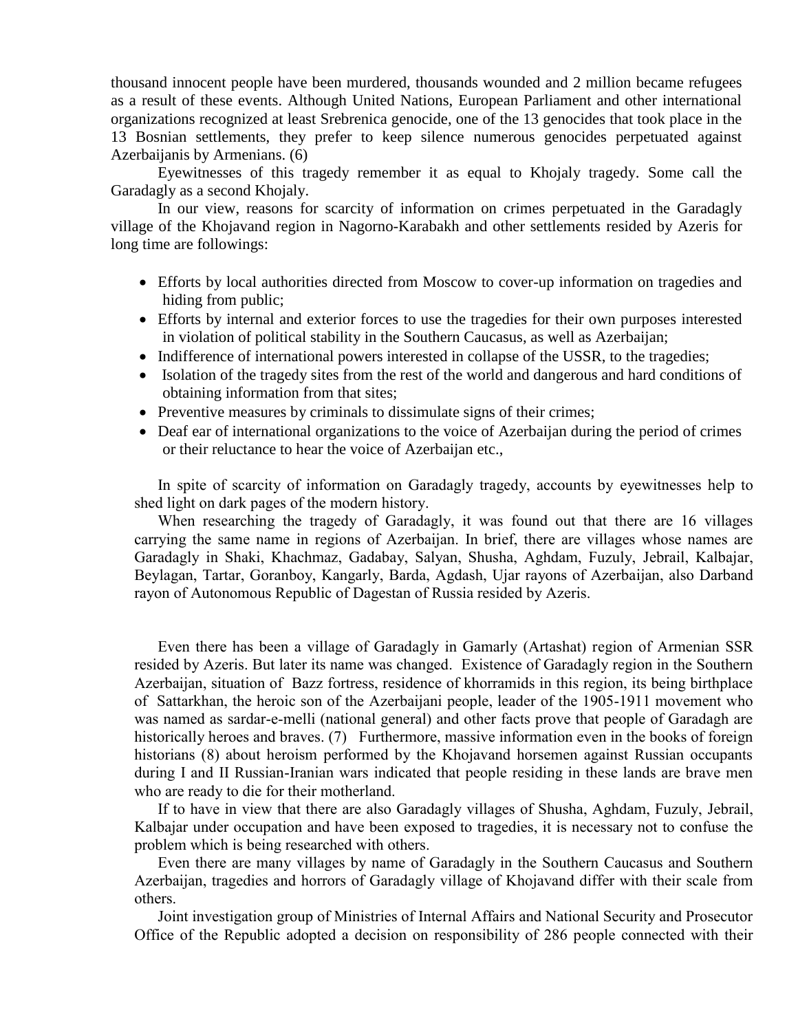thousand innocent people have been murdered, thousands wounded and 2 million became refugees as a result of these events. Although United Nations, European Parliament and other international organizations recognized at least Srebrenica genocide, one of the 13 genocides that took place in the 13 Bosnian settlements, they prefer to keep silence numerous genocides perpetuated against Azerbaijanis by Armenians. (6)

Eyewitnesses of this tragedy remember it as equal to Khojaly tragedy. Some call the Garadagly as a second Khojaly.

In our view, reasons for scarcity of information on crimes perpetuated in the Garadagly village of the Khojavand region in Nagorno-Karabakh and other settlements resided by Azeris for long time are followings:

- Efforts by local authorities directed from Moscow to cover-up information on tragedies and hiding from public;
- Efforts by internal and exterior forces to use the tragedies for their own purposes interested in violation of political stability in the Southern Caucasus, as well as Azerbaijan;
- Indifference of international powers interested in collapse of the USSR, to the tragedies;
- Isolation of the tragedy sites from the rest of the world and dangerous and hard conditions of obtaining information from that sites;
- Preventive measures by criminals to dissimulate signs of their crimes;
- Deaf ear of international organizations to the voice of Azerbaijan during the period of crimes or their reluctance to hear the voice of Azerbaijan etc.,

In spite of scarcity of information on Garadagly tragedy, accounts by eyewitnesses help to shed light on dark pages of the modern history.

When researching the tragedy of Garadagly, it was found out that there are 16 villages carrying the same name in regions of Azerbaijan. In brief, there are villages whose names are Garadagly in Shaki, Khachmaz, Gadabay, Salyan, Shusha, Aghdam, Fuzuly, Jebrail, Kalbajar, Beylagan, Tartar, Goranboy, Kangarly, Barda, Agdash, Ujar rayons of Azerbaijan, also Darband rayon of Autonomous Republic of Dagestan of Russia resided by Azeris.

Even there has been a village of Garadagly in Gamarly (Artashat) region of Armenian SSR resided by Azeris. But later its name was changed. Existence of Garadagly region in the Southern Azerbaijan, situation of Bazz fortress, residence of khorramids in this region, its being birthplace of Sattarkhan, the heroic son of the Azerbaijani people, leader of the 1905-1911 movement who was named as sardar-e-melli (national general) and other facts prove that people of Garadagh are historically heroes and braves. (7) Furthermore, massive information even in the books of foreign historians (8) about heroism performed by the Khojavand horsemen against Russian occupants during I and II Russian-Iranian wars indicated that people residing in these lands are brave men who are ready to die for their motherland.

If to have in view that there are also Garadagly villages of Shusha, Aghdam, Fuzuly, Jebrail, Kalbajar under occupation and have been exposed to tragedies, it is necessary not to confuse the problem which is being researched with others.

Even there are many villages by name of Garadagly in the Southern Caucasus and Southern Azerbaijan, tragedies and horrors of Garadagly village of Khojavand differ with their scale from others.

Joint investigation group of Ministries of Internal Affairs and National Security and Prosecutor Office of the Republic adopted a decision on responsibility of 286 people connected with their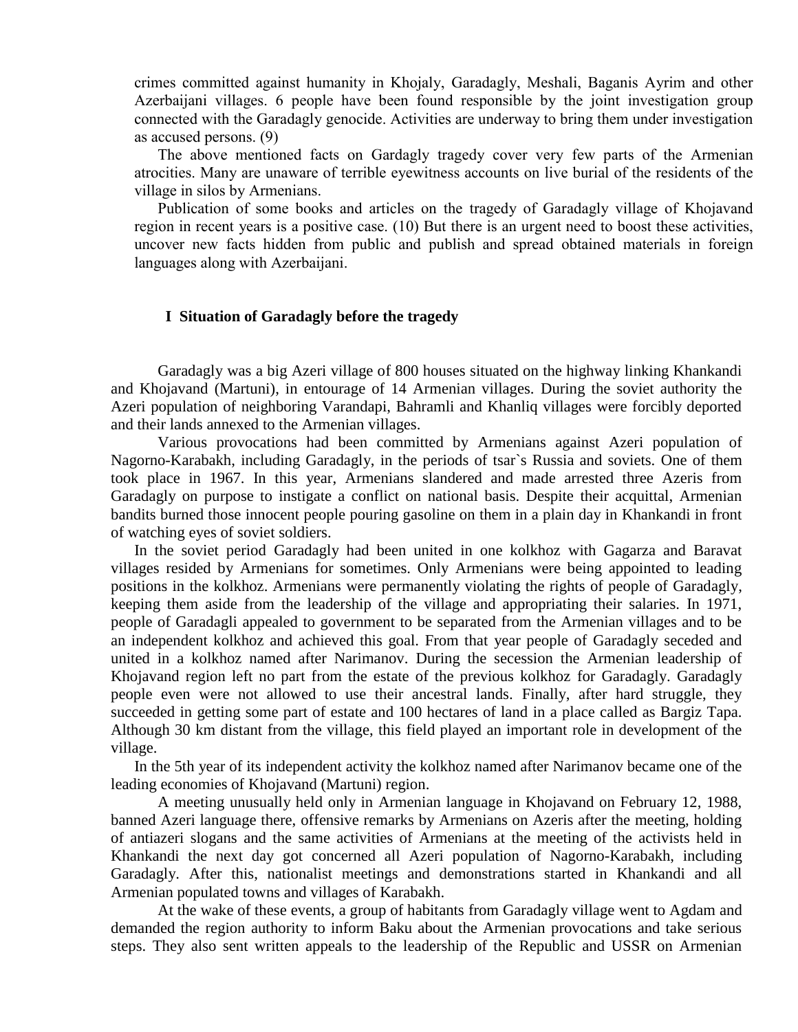crimes committed against humanity in Khojaly, Garadagly, Meshali, Baganis Ayrim and other Azerbaijani villages. 6 people have been found responsible by the joint investigation group connected with the Garadagly genocide. Activities are underway to bring them under investigation as accused persons. (9)

The above mentioned facts on Gardagly tragedy cover very few parts of the Armenian atrocities. Many are unaware of terrible eyewitness accounts on live burial of the residents of the village in silos by Armenians.

Publication of some books and articles on the tragedy of Garadagly village of Khojavand region in recent years is a positive case. (10) But there is an urgent need to boost these activities, uncover new facts hidden from public and publish and spread obtained materials in foreign languages along with Azerbaijani.

#### **I Situation of Garadagly before the tragedy**

Garadagly was a big Azeri village of 800 houses situated on the highway linking Khankandi and Khojavand (Martuni), in entourage of 14 Armenian villages. During the soviet authority the Azeri population of neighboring Varandapi, Bahramli and Khanliq villages were forcibly deported and their lands annexed to the Armenian villages.

Various provocations had been committed by Armenians against Azeri population of Nagorno-Karabakh, including Garadagly, in the periods of tsar`s Russia and soviets. One of them took place in 1967. In this year, Armenians slandered and made arrested three Azeris from Garadagly on purpose to instigate a conflict on national basis. Despite their acquittal, Armenian bandits burned those innocent people pouring gasoline on them in a plain day in Khankandi in front of watching eyes of soviet soldiers.

In the soviet period Garadagly had been united in one kolkhoz with Gagarza and Baravat villages resided by Armenians for sometimes. Only Armenians were being appointed to leading positions in the kolkhoz. Armenians were permanently violating the rights of people of Garadagly, keeping them aside from the leadership of the village and appropriating their salaries. In 1971, people of Garadagli appealed to government to be separated from the Armenian villages and to be an independent kolkhoz and achieved this goal. From that year people of Garadagly seceded and united in a kolkhoz named after Narimanov. During the secession the Armenian leadership of Khojavand region left no part from the estate of the previous kolkhoz for Garadagly. Garadagly people even were not allowed to use their ancestral lands. Finally, after hard struggle, they succeeded in getting some part of estate and 100 hectares of land in a place called as Bargiz Tapa. Although 30 km distant from the village, this field played an important role in development of the village.

In the 5th year of its independent activity the kolkhoz named after Narimanov became one of the leading economies of Khojavand (Martuni) region.

A meeting unusually held only in Armenian language in Khojavand on February 12, 1988, banned Azeri language there, offensive remarks by Armenians on Azeris after the meeting, holding of antiazeri slogans and the same activities of Armenians at the meeting of the activists held in Khankandi the next day got concerned all Azeri population of Nagorno-Karabakh, including Garadagly. After this, nationalist meetings and demonstrations started in Khankandi and all Armenian populated towns and villages of Karabakh.

At the wake of these events, a group of habitants from Garadagly village went to Agdam and demanded the region authority to inform Baku about the Armenian provocations and take serious steps. They also sent written appeals to the leadership of the Republic and USSR on Armenian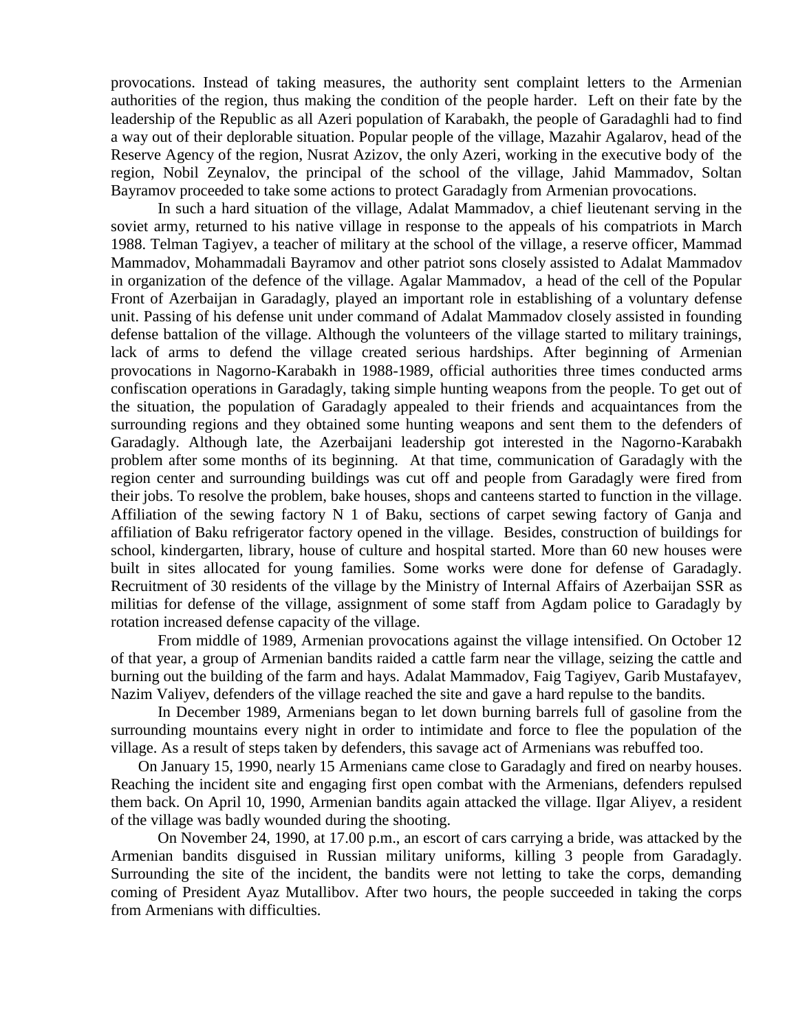provocations. Instead of taking measures, the authority sent complaint letters to the Armenian authorities of the region, thus making the condition of the people harder. Left on their fate by the leadership of the Republic as all Azeri population of Karabakh, the people of Garadaghli had to find a way out of their deplorable situation. Popular people of the village, Mazahir Agalarov, head of the Reserve Agency of the region, Nusrat Azizov, the only Azeri, working in the executive body of the region, Nobil Zeynalov, the principal of the school of the village, Jahid Mammadov, Soltan Bayramov proceeded to take some actions to protect Garadagly from Armenian provocations.

In such a hard situation of the village, Adalat Mammadov, a chief lieutenant serving in the soviet army, returned to his native village in response to the appeals of his compatriots in March 1988. Telman Tagiyev, a teacher of military at the school of the village, a reserve officer, Mammad Mammadov, Mohammadali Bayramov and other patriot sons closely assisted to Adalat Mammadov in organization of the defence of the village. Agalar Mammadov, a head of the cell of the Popular Front of Azerbaijan in Garadagly, played an important role in establishing of a voluntary defense unit. Passing of his defense unit under command of Adalat Mammadov closely assisted in founding defense battalion of the village. Although the volunteers of the village started to military trainings, lack of arms to defend the village created serious hardships. After beginning of Armenian provocations in Nagorno-Karabakh in 1988-1989, official authorities three times conducted arms confiscation operations in Garadagly, taking simple hunting weapons from the people. To get out of the situation, the population of Garadagly appealed to their friends and acquaintances from the surrounding regions and they obtained some hunting weapons and sent them to the defenders of Garadagly. Although late, the Azerbaijani leadership got interested in the Nagorno-Karabakh problem after some months of its beginning. At that time, communication of Garadagly with the region center and surrounding buildings was cut off and people from Garadagly were fired from their jobs. To resolve the problem, bake houses, shops and canteens started to function in the village. Affiliation of the sewing factory N 1 of Baku, sections of carpet sewing factory of Ganja and affiliation of Baku refrigerator factory opened in the village. Besides, construction of buildings for school, kindergarten, library, house of culture and hospital started. More than 60 new houses were built in sites allocated for young families. Some works were done for defense of Garadagly. Recruitment of 30 residents of the village by the Ministry of Internal Affairs of Azerbaijan SSR as militias for defense of the village, assignment of some staff from Agdam police to Garadagly by rotation increased defense capacity of the village.

From middle of 1989, Armenian provocations against the village intensified. On October 12 of that year, a group of Armenian bandits raided a cattle farm near the village, seizing the cattle and burning out the building of the farm and hays. Adalat Mammadov, Faig Tagiyev, Garib Mustafayev, Nazim Valiyev, defenders of the village reached the site and gave a hard repulse to the bandits.

 In December 1989, Armenians began to let down burning barrels full of gasoline from the surrounding mountains every night in order to intimidate and force to flee the population of the village. As a result of steps taken by defenders, this savage act of Armenians was rebuffed too.

 On January 15, 1990, nearly 15 Armenians came close to Garadagly and fired on nearby houses. Reaching the incident site and engaging first open combat with the Armenians, defenders repulsed them back. On April 10, 1990, Armenian bandits again attacked the village. Ilgar Aliyev, a resident of the village was badly wounded during the shooting.

On November 24, 1990, at 17.00 p.m., an escort of cars carrying a bride, was attacked by the Armenian bandits disguised in Russian military uniforms, killing 3 people from Garadagly. Surrounding the site of the incident, the bandits were not letting to take the corps, demanding coming of President Ayaz Mutallibov. After two hours, the people succeeded in taking the corps from Armenians with difficulties.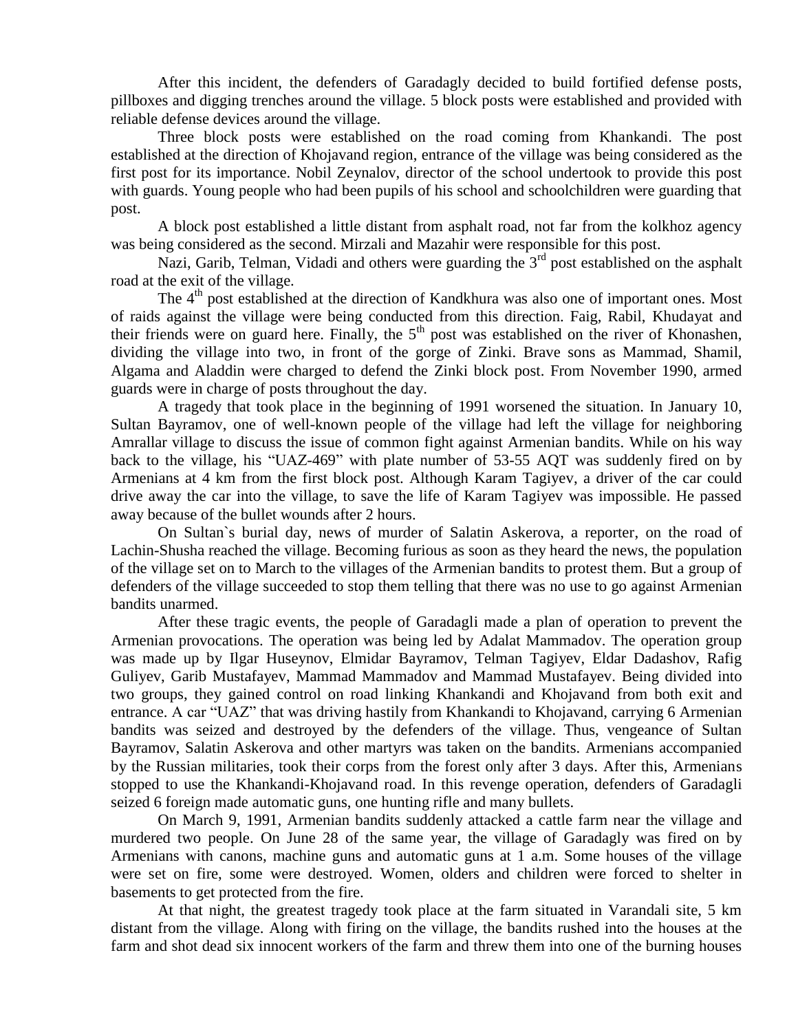After this incident, the defenders of Garadagly decided to build fortified defense posts, pillboxes and digging trenches around the village. 5 block posts were established and provided with reliable defense devices around the village.

Three block posts were established on the road coming from Khankandi. The post established at the direction of Khojavand region, entrance of the village was being considered as the first post for its importance. Nobil Zeynalov, director of the school undertook to provide this post with guards. Young people who had been pupils of his school and schoolchildren were guarding that post.

A block post established a little distant from asphalt road, not far from the kolkhoz agency was being considered as the second. Mirzali and Mazahir were responsible for this post.

Nazi, Garib, Telman, Vidadi and others were guarding the  $3<sup>rd</sup>$  post established on the asphalt road at the exit of the village.

The 4<sup>th</sup> post established at the direction of Kandkhura was also one of important ones. Most of raids against the village were being conducted from this direction. Faig, Rabil, Khudayat and their friends were on guard here. Finally, the 5<sup>th</sup> post was established on the river of Khonashen, dividing the village into two, in front of the gorge of Zinki. Brave sons as Mammad, Shamil, Algama and Aladdin were charged to defend the Zinki block post. From November 1990, armed guards were in charge of posts throughout the day.

A tragedy that took place in the beginning of 1991 worsened the situation. In January 10, Sultan Bayramov, one of well-known people of the village had left the village for neighboring Amrallar village to discuss the issue of common fight against Armenian bandits. While on his way back to the village, his "UAZ-469" with plate number of 53-55 AQT was suddenly fired on by Armenians at 4 km from the first block post. Although Karam Tagiyev, a driver of the car could drive away the car into the village, to save the life of Karam Tagiyev was impossible. He passed away because of the bullet wounds after 2 hours.

On Sultan`s burial day, news of murder of Salatin Askerova, a reporter, on the road of Lachin-Shusha reached the village. Becoming furious as soon as they heard the news, the population of the village set on to March to the villages of the Armenian bandits to protest them. But a group of defenders of the village succeeded to stop them telling that there was no use to go against Armenian bandits unarmed.

After these tragic events, the people of Garadagli made a plan of operation to prevent the Armenian provocations. The operation was being led by Adalat Mammadov. The operation group was made up by Ilgar Huseynov, Elmidar Bayramov, Telman Tagiyev, Eldar Dadashov, Rafig Guliyev, Garib Mustafayev, Mammad Mammadov and Mammad Mustafayev. Being divided into two groups, they gained control on road linking Khankandi and Khojavand from both exit and entrance. A car "UAZ" that was driving hastily from Khankandi to Khojavand, carrying 6 Armenian bandits was seized and destroyed by the defenders of the village. Thus, vengeance of Sultan Bayramov, Salatin Askerova and other martyrs was taken on the bandits. Armenians accompanied by the Russian militaries, took their corps from the forest only after 3 days. After this, Armenians stopped to use the Khankandi-Khojavand road. In this revenge operation, defenders of Garadagli seized 6 foreign made automatic guns, one hunting rifle and many bullets.

On March 9, 1991, Armenian bandits suddenly attacked a cattle farm near the village and murdered two people. On June 28 of the same year, the village of Garadagly was fired on by Armenians with canons, machine guns and automatic guns at 1 a.m. Some houses of the village were set on fire, some were destroyed. Women, olders and children were forced to shelter in basements to get protected from the fire.

At that night, the greatest tragedy took place at the farm situated in Varandali site, 5 km distant from the village. Along with firing on the village, the bandits rushed into the houses at the farm and shot dead six innocent workers of the farm and threw them into one of the burning houses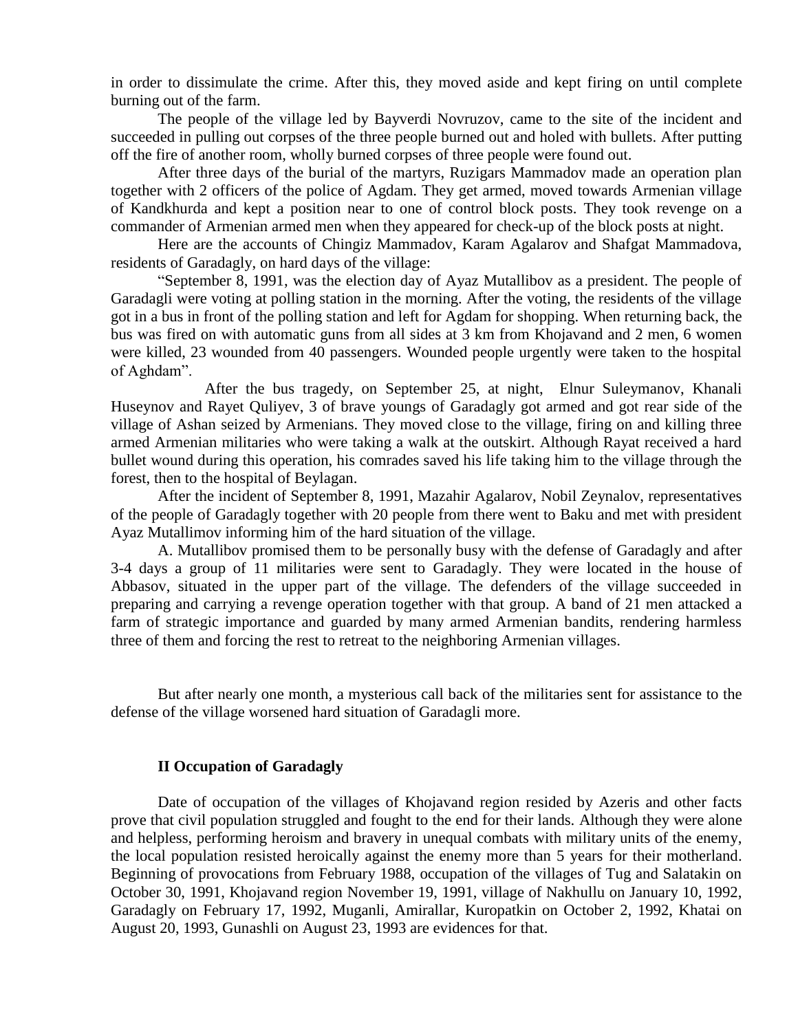in order to dissimulate the crime. After this, they moved aside and kept firing on until complete burning out of the farm.

The people of the village led by Bayverdi Novruzov, came to the site of the incident and succeeded in pulling out corpses of the three people burned out and holed with bullets. After putting off the fire of another room, wholly burned corpses of three people were found out.

After three days of the burial of the martyrs, Ruzigars Mammadov made an operation plan together with 2 officers of the police of Agdam. They get armed, moved towards Armenian village of Kandkhurda and kept a position near to one of control block posts. They took revenge on a commander of Armenian armed men when they appeared for check-up of the block posts at night.

Here are the accounts of Chingiz Mammadov, Karam Agalarov and Shafgat Mammadova, residents of Garadagly, on hard days of the village:

"September 8, 1991, was the election day of Ayaz Mutallibov as a president. The people of Garadagli were voting at polling station in the morning. After the voting, the residents of the village got in a bus in front of the polling station and left for Agdam for shopping. When returning back, the bus was fired on with automatic guns from all sides at 3 km from Khojavand and 2 men, 6 women were killed, 23 wounded from 40 passengers. Wounded people urgently were taken to the hospital of Aghdam".

After the bus tragedy, on September 25, at night, Elnur Suleymanov, Khanali Huseynov and Rayet Quliyev, 3 of brave youngs of Garadagly got armed and got rear side of the village of Ashan seized by Armenians. They moved close to the village, firing on and killing three armed Armenian militaries who were taking a walk at the outskirt. Although Rayat received a hard bullet wound during this operation, his comrades saved his life taking him to the village through the forest, then to the hospital of Beylagan.

After the incident of September 8, 1991, Mazahir Agalarov, Nobil Zeynalov, representatives of the people of Garadagly together with 20 people from there went to Baku and met with president Ayaz Mutallimov informing him of the hard situation of the village.

A. Mutallibov promised them to be personally busy with the defense of Garadagly and after 3-4 days a group of 11 militaries were sent to Garadagly. They were located in the house of Abbasov, situated in the upper part of the village. The defenders of the village succeeded in preparing and carrying a revenge operation together with that group. A band of 21 men attacked a farm of strategic importance and guarded by many armed Armenian bandits, rendering harmless three of them and forcing the rest to retreat to the neighboring Armenian villages.

But after nearly one month, a mysterious call back of the militaries sent for assistance to the defense of the village worsened hard situation of Garadagli more.

#### **II Occupation of Garadagly**

Date of occupation of the villages of Khojavand region resided by Azeris and other facts prove that civil population struggled and fought to the end for their lands. Although they were alone and helpless, performing heroism and bravery in unequal combats with military units of the enemy, the local population resisted heroically against the enemy more than 5 years for their motherland. Beginning of provocations from February 1988, occupation of the villages of Tug and Salatakin on October 30, 1991, Khojavand region November 19, 1991, village of Nakhullu on January 10, 1992, Garadagly on February 17, 1992, Muganli, Amirallar, Kuropatkin on October 2, 1992, Khatai on August 20, 1993, Gunashli on August 23, 1993 are evidences for that.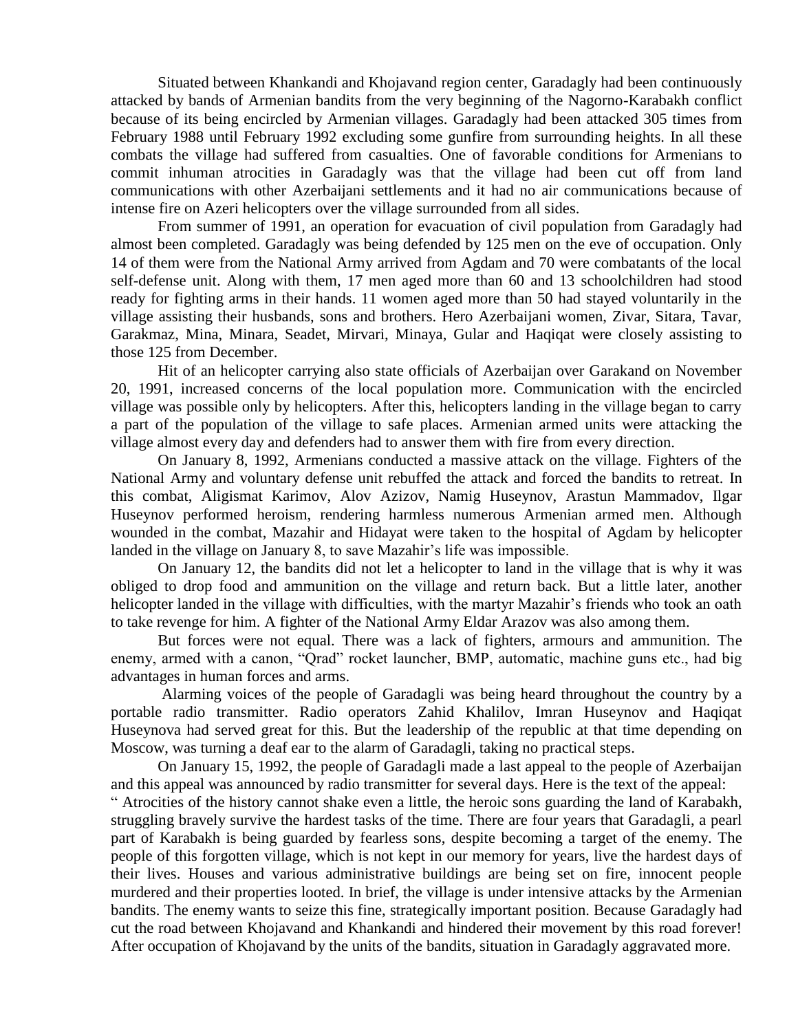Situated between Khankandi and Khojavand region center, Garadagly had been continuously attacked by bands of Armenian bandits from the very beginning of the Nagorno-Karabakh conflict because of its being encircled by Armenian villages. Garadagly had been attacked 305 times from February 1988 until February 1992 excluding some gunfire from surrounding heights. In all these combats the village had suffered from casualties. One of favorable conditions for Armenians to commit inhuman atrocities in Garadagly was that the village had been cut off from land communications with other Azerbaijani settlements and it had no air communications because of intense fire on Azeri helicopters over the village surrounded from all sides.

From summer of 1991, an operation for evacuation of civil population from Garadagly had almost been completed. Garadagly was being defended by 125 men on the eve of occupation. Only 14 of them were from the National Army arrived from Agdam and 70 were combatants of the local self-defense unit. Along with them, 17 men aged more than 60 and 13 schoolchildren had stood ready for fighting arms in their hands. 11 women aged more than 50 had stayed voluntarily in the village assisting their husbands, sons and brothers. Hero Azerbaijani women, Zivar, Sitara, Tavar, Garakmaz, Mina, Minara, Seadet, Mirvari, Minaya, Gular and Haqiqat were closely assisting to those 125 from December.

Hit of an helicopter carrying also state officials of Azerbaijan over Garakand on November 20, 1991, increased concerns of the local population more. Communication with the encircled village was possible only by helicopters. After this, helicopters landing in the village began to carry a part of the population of the village to safe places. Armenian armed units were attacking the village almost every day and defenders had to answer them with fire from every direction.

On January 8, 1992, Armenians conducted a massive attack on the village. Fighters of the National Army and voluntary defense unit rebuffed the attack and forced the bandits to retreat. In this combat, Aligismat Karimov, Alov Azizov, Namig Huseynov, Arastun Mammadov, Ilgar Huseynov performed heroism, rendering harmless numerous Armenian armed men. Although wounded in the combat, Mazahir and Hidayat were taken to the hospital of Agdam by helicopter landed in the village on January 8, to save Mazahir's life was impossible.

On January 12, the bandits did not let a helicopter to land in the village that is why it was obliged to drop food and ammunition on the village and return back. But a little later, another helicopter landed in the village with difficulties, with the martyr Mazahir's friends who took an oath to take revenge for him. A fighter of the National Army Eldar Arazov was also among them.

But forces were not equal. There was a lack of fighters, armours and ammunition. The enemy, armed with a canon, "Qrad" rocket launcher, BMP, automatic, machine guns etc., had big advantages in human forces and arms.

Alarming voices of the people of Garadagli was being heard throughout the country by a portable radio transmitter. Radio operators Zahid Khalilov, Imran Huseynov and Haqiqat Huseynova had served great for this. But the leadership of the republic at that time depending on Moscow, was turning a deaf ear to the alarm of Garadagli, taking no practical steps.

On January 15, 1992, the people of Garadagli made a last appeal to the people of Azerbaijan and this appeal was announced by radio transmitter for several days. Here is the text of the appeal:

" Atrocities of the history cannot shake even a little, the heroic sons guarding the land of Karabakh, struggling bravely survive the hardest tasks of the time. There are four years that Garadagli, a pearl part of Karabakh is being guarded by fearless sons, despite becoming a target of the enemy. The people of this forgotten village, which is not kept in our memory for years, live the hardest days of their lives. Houses and various administrative buildings are being set on fire, innocent people murdered and their properties looted. In brief, the village is under intensive attacks by the Armenian bandits. The enemy wants to seize this fine, strategically important position. Because Garadagly had cut the road between Khojavand and Khankandi and hindered their movement by this road forever! After occupation of Khojavand by the units of the bandits, situation in Garadagly aggravated more.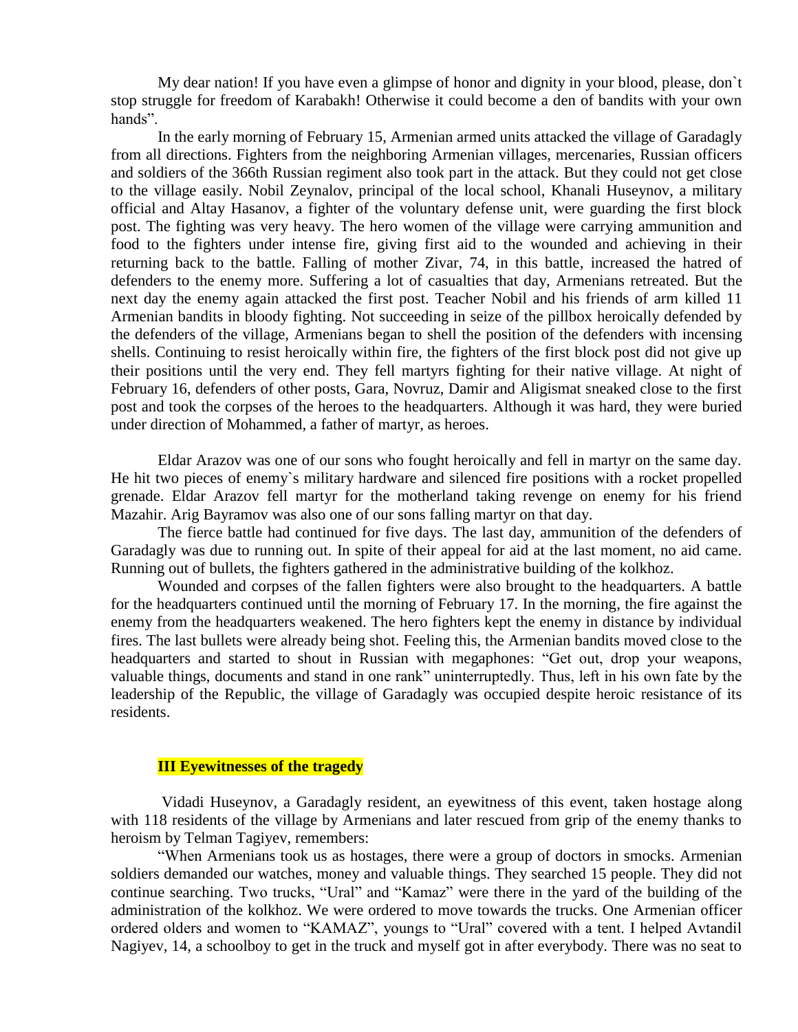My dear nation! If you have even a glimpse of honor and dignity in your blood, please, don`t stop struggle for freedom of Karabakh! Otherwise it could become a den of bandits with your own hands".

In the early morning of February 15, Armenian armed units attacked the village of Garadagly from all directions. Fighters from the neighboring Armenian villages, mercenaries, Russian officers and soldiers of the 366th Russian regiment also took part in the attack. But they could not get close to the village easily. Nobil Zeynalov, principal of the local school, Khanali Huseynov, a military official and Altay Hasanov, a fighter of the voluntary defense unit, were guarding the first block post. The fighting was very heavy. The hero women of the village were carrying ammunition and food to the fighters under intense fire, giving first aid to the wounded and achieving in their returning back to the battle. Falling of mother Zivar, 74, in this battle, increased the hatred of defenders to the enemy more. Suffering a lot of casualties that day, Armenians retreated. But the next day the enemy again attacked the first post. Teacher Nobil and his friends of arm killed 11 Armenian bandits in bloody fighting. Not succeeding in seize of the pillbox heroically defended by the defenders of the village, Armenians began to shell the position of the defenders with incensing shells. Continuing to resist heroically within fire, the fighters of the first block post did not give up their positions until the very end. They fell martyrs fighting for their native village. At night of February 16, defenders of other posts, Gara, Novruz, Damir and Aligismat sneaked close to the first post and took the corpses of the heroes to the headquarters. Although it was hard, they were buried under direction of Mohammed, a father of martyr, as heroes.

Eldar Arazov was one of our sons who fought heroically and fell in martyr on the same day. He hit two pieces of enemy`s military hardware and silenced fire positions with a rocket propelled grenade. Eldar Arazov fell martyr for the motherland taking revenge on enemy for his friend Mazahir. Arig Bayramov was also one of our sons falling martyr on that day.

The fierce battle had continued for five days. The last day, ammunition of the defenders of Garadagly was due to running out. In spite of their appeal for aid at the last moment, no aid came. Running out of bullets, the fighters gathered in the administrative building of the kolkhoz.

Wounded and corpses of the fallen fighters were also brought to the headquarters. A battle for the headquarters continued until the morning of February 17. In the morning, the fire against the enemy from the headquarters weakened. The hero fighters kept the enemy in distance by individual fires. The last bullets were already being shot. Feeling this, the Armenian bandits moved close to the headquarters and started to shout in Russian with megaphones: "Get out, drop your weapons, valuable things, documents and stand in one rank" uninterruptedly. Thus, left in his own fate by the leadership of the Republic, the village of Garadagly was occupied despite heroic resistance of its residents.

### **III Eyewitnesses of the tragedy**

 Vidadi Huseynov, a Garadagly resident, an eyewitness of this event, taken hostage along with 118 residents of the village by Armenians and later rescued from grip of the enemy thanks to heroism by Telman Tagiyev, remembers:

"When Armenians took us as hostages, there were a group of doctors in smocks. Armenian soldiers demanded our watches, money and valuable things. They searched 15 people. They did not continue searching. Two trucks, "Ural" and "Kamaz" were there in the yard of the building of the administration of the kolkhoz. We were ordered to move towards the trucks. One Armenian officer ordered olders and women to "KAMAZ", youngs to "Ural" covered with a tent. I helped Avtandil Nagiyev, 14, a schoolboy to get in the truck and myself got in after everybody. There was no seat to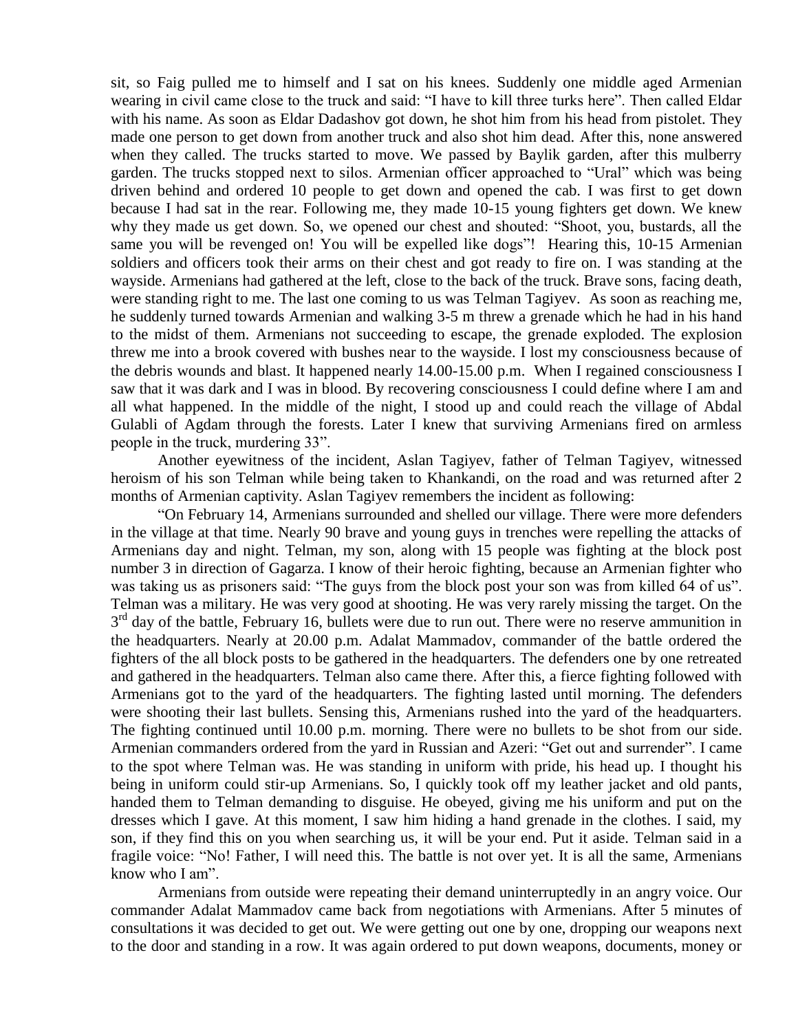sit, so Faig pulled me to himself and I sat on his knees. Suddenly one middle aged Armenian wearing in civil came close to the truck and said: "I have to kill three turks here". Then called Eldar with his name. As soon as Eldar Dadashov got down, he shot him from his head from pistolet. They made one person to get down from another truck and also shot him dead. After this, none answered when they called. The trucks started to move. We passed by Baylik garden, after this mulberry garden. The trucks stopped next to silos. Armenian officer approached to "Ural" which was being driven behind and ordered 10 people to get down and opened the cab. I was first to get down because I had sat in the rear. Following me, they made 10-15 young fighters get down. We knew why they made us get down. So, we opened our chest and shouted: "Shoot, you, bustards, all the same you will be revenged on! You will be expelled like dogs"! Hearing this, 10-15 Armenian soldiers and officers took their arms on their chest and got ready to fire on. I was standing at the wayside. Armenians had gathered at the left, close to the back of the truck. Brave sons, facing death, were standing right to me. The last one coming to us was Telman Tagiyev. As soon as reaching me, he suddenly turned towards Armenian and walking 3-5 m threw a grenade which he had in his hand to the midst of them. Armenians not succeeding to escape, the grenade exploded. The explosion threw me into a brook covered with bushes near to the wayside. I lost my consciousness because of the debris wounds and blast. It happened nearly 14.00-15.00 p.m. When I regained consciousness I saw that it was dark and I was in blood. By recovering consciousness I could define where I am and all what happened. In the middle of the night, I stood up and could reach the village of Abdal Gulabli of Agdam through the forests. Later I knew that surviving Armenians fired on armless people in the truck, murdering 33".

Another eyewitness of the incident, Aslan Tagiyev, father of Telman Tagiyev, witnessed heroism of his son Telman while being taken to Khankandi, on the road and was returned after 2 months of Armenian captivity. Aslan Tagiyev remembers the incident as following:

"On February 14, Armenians surrounded and shelled our village. There were more defenders in the village at that time. Nearly 90 brave and young guys in trenches were repelling the attacks of Armenians day and night. Telman, my son, along with 15 people was fighting at the block post number 3 in direction of Gagarza. I know of their heroic fighting, because an Armenian fighter who was taking us as prisoners said: "The guys from the block post your son was from killed 64 of us". Telman was a military. He was very good at shooting. He was very rarely missing the target. On the 3<sup>rd</sup> day of the battle, February 16, bullets were due to run out. There were no reserve ammunition in the headquarters. Nearly at 20.00 p.m. Adalat Mammadov, commander of the battle ordered the fighters of the all block posts to be gathered in the headquarters. The defenders one by one retreated and gathered in the headquarters. Telman also came there. After this, a fierce fighting followed with Armenians got to the yard of the headquarters. The fighting lasted until morning. The defenders were shooting their last bullets. Sensing this, Armenians rushed into the yard of the headquarters. The fighting continued until 10.00 p.m. morning. There were no bullets to be shot from our side. Armenian commanders ordered from the yard in Russian and Azeri: "Get out and surrender". I came to the spot where Telman was. He was standing in uniform with pride, his head up. I thought his being in uniform could stir-up Armenians. So, I quickly took off my leather jacket and old pants, handed them to Telman demanding to disguise. He obeyed, giving me his uniform and put on the dresses which I gave. At this moment, I saw him hiding a hand grenade in the clothes. I said, my son, if they find this on you when searching us, it will be your end. Put it aside. Telman said in a fragile voice: "No! Father, I will need this. The battle is not over yet. It is all the same, Armenians know who I am".

Armenians from outside were repeating their demand uninterruptedly in an angry voice. Our commander Adalat Mammadov came back from negotiations with Armenians. After 5 minutes of consultations it was decided to get out. We were getting out one by one, dropping our weapons next to the door and standing in a row. It was again ordered to put down weapons, documents, money or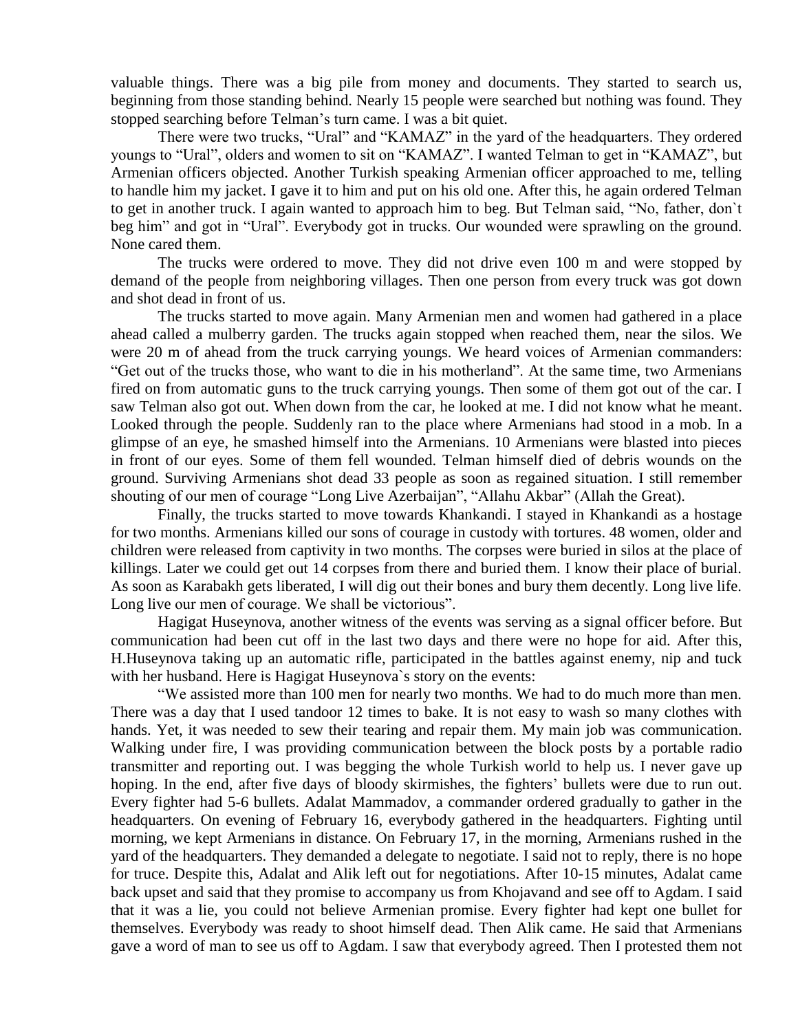valuable things. There was a big pile from money and documents. They started to search us, beginning from those standing behind. Nearly 15 people were searched but nothing was found. They stopped searching before Telman's turn came. I was a bit quiet.

There were two trucks, "Ural" and "KAMAZ" in the yard of the headquarters. They ordered youngs to "Ural", olders and women to sit on "KAMAZ". I wanted Telman to get in "KAMAZ", but Armenian officers objected. Another Turkish speaking Armenian officer approached to me, telling to handle him my jacket. I gave it to him and put on his old one. After this, he again ordered Telman to get in another truck. I again wanted to approach him to beg. But Telman said, "No, father, don`t beg him" and got in "Ural". Everybody got in trucks. Our wounded were sprawling on the ground. None cared them.

The trucks were ordered to move. They did not drive even 100 m and were stopped by demand of the people from neighboring villages. Then one person from every truck was got down and shot dead in front of us.

The trucks started to move again. Many Armenian men and women had gathered in a place ahead called a mulberry garden. The trucks again stopped when reached them, near the silos. We were 20 m of ahead from the truck carrying youngs. We heard voices of Armenian commanders: "Get out of the trucks those, who want to die in his motherland". At the same time, two Armenians fired on from automatic guns to the truck carrying youngs. Then some of them got out of the car. I saw Telman also got out. When down from the car, he looked at me. I did not know what he meant. Looked through the people. Suddenly ran to the place where Armenians had stood in a mob. In a glimpse of an eye, he smashed himself into the Armenians. 10 Armenians were blasted into pieces in front of our eyes. Some of them fell wounded. Telman himself died of debris wounds on the ground. Surviving Armenians shot dead 33 people as soon as regained situation. I still remember shouting of our men of courage "Long Live Azerbaijan", "Allahu Akbar" (Allah the Great).

Finally, the trucks started to move towards Khankandi. I stayed in Khankandi as a hostage for two months. Armenians killed our sons of courage in custody with tortures. 48 women, older and children were released from captivity in two months. The corpses were buried in silos at the place of killings. Later we could get out 14 corpses from there and buried them. I know their place of burial. As soon as Karabakh gets liberated, I will dig out their bones and bury them decently. Long live life. Long live our men of courage. We shall be victorious".

Hagigat Huseynova, another witness of the events was serving as a signal officer before. But communication had been cut off in the last two days and there were no hope for aid. After this, H.Huseynova taking up an automatic rifle, participated in the battles against enemy, nip and tuck with her husband. Here is Hagigat Huseynova`s story on the events:

"We assisted more than 100 men for nearly two months. We had to do much more than men. There was a day that I used tandoor 12 times to bake. It is not easy to wash so many clothes with hands. Yet, it was needed to sew their tearing and repair them. My main job was communication. Walking under fire, I was providing communication between the block posts by a portable radio transmitter and reporting out. I was begging the whole Turkish world to help us. I never gave up hoping. In the end, after five days of bloody skirmishes, the fighters' bullets were due to run out. Every fighter had 5-6 bullets. Adalat Mammadov, a commander ordered gradually to gather in the headquarters. On evening of February 16, everybody gathered in the headquarters. Fighting until morning, we kept Armenians in distance. On February 17, in the morning, Armenians rushed in the yard of the headquarters. They demanded a delegate to negotiate. I said not to reply, there is no hope for truce. Despite this, Adalat and Alik left out for negotiations. After 10-15 minutes, Adalat came back upset and said that they promise to accompany us from Khojavand and see off to Agdam. I said that it was a lie, you could not believe Armenian promise. Every fighter had kept one bullet for themselves. Everybody was ready to shoot himself dead. Then Alik came. He said that Armenians gave a word of man to see us off to Agdam. I saw that everybody agreed. Then I protested them not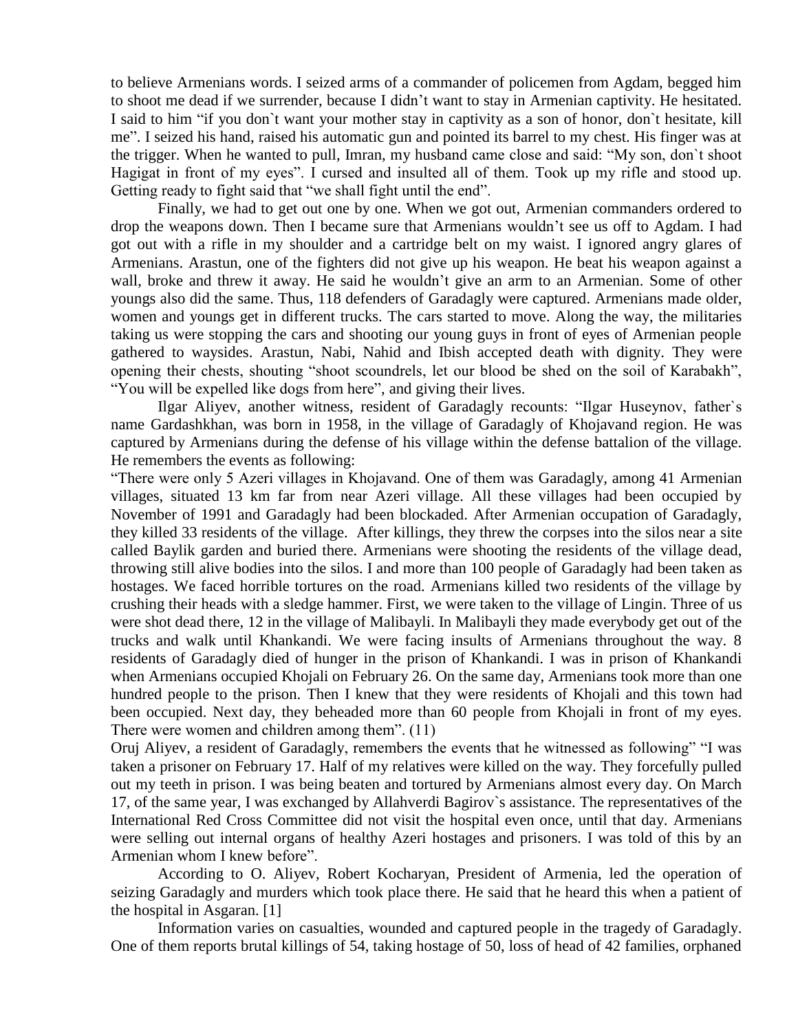to believe Armenians words. I seized arms of a commander of policemen from Agdam, begged him to shoot me dead if we surrender, because I didn't want to stay in Armenian captivity. He hesitated. I said to him "if you don`t want your mother stay in captivity as a son of honor, don`t hesitate, kill me". I seized his hand, raised his automatic gun and pointed its barrel to my chest. His finger was at the trigger. When he wanted to pull, Imran, my husband came close and said: "My son, don`t shoot Hagigat in front of my eyes". I cursed and insulted all of them. Took up my rifle and stood up. Getting ready to fight said that "we shall fight until the end".

Finally, we had to get out one by one. When we got out, Armenian commanders ordered to drop the weapons down. Then I became sure that Armenians wouldn't see us off to Agdam. I had got out with a rifle in my shoulder and a cartridge belt on my waist. I ignored angry glares of Armenians. Arastun, one of the fighters did not give up his weapon. He beat his weapon against a wall, broke and threw it away. He said he wouldn't give an arm to an Armenian. Some of other youngs also did the same. Thus, 118 defenders of Garadagly were captured. Armenians made older, women and youngs get in different trucks. The cars started to move. Along the way, the militaries taking us were stopping the cars and shooting our young guys in front of eyes of Armenian people gathered to waysides. Arastun, Nabi, Nahid and Ibish accepted death with dignity. They were opening their chests, shouting "shoot scoundrels, let our blood be shed on the soil of Karabakh", "You will be expelled like dogs from here", and giving their lives.

Ilgar Aliyev, another witness, resident of Garadagly recounts: "Ilgar Huseynov, father`s name Gardashkhan, was born in 1958, in the village of Garadagly of Khojavand region. He was captured by Armenians during the defense of his village within the defense battalion of the village. He remembers the events as following:

"There were only 5 Azeri villages in Khojavand. One of them was Garadagly, among 41 Armenian villages, situated 13 km far from near Azeri village. All these villages had been occupied by November of 1991 and Garadagly had been blockaded. After Armenian occupation of Garadagly, they killed 33 residents of the village. After killings, they threw the corpses into the silos near a site called Baylik garden and buried there. Armenians were shooting the residents of the village dead, throwing still alive bodies into the silos. I and more than 100 people of Garadagly had been taken as hostages. We faced horrible tortures on the road. Armenians killed two residents of the village by crushing their heads with a sledge hammer. First, we were taken to the village of Lingin. Three of us were shot dead there, 12 in the village of Malibayli. In Malibayli they made everybody get out of the trucks and walk until Khankandi. We were facing insults of Armenians throughout the way. 8 residents of Garadagly died of hunger in the prison of Khankandi. I was in prison of Khankandi when Armenians occupied Khojali on February 26. On the same day, Armenians took more than one hundred people to the prison. Then I knew that they were residents of Khojali and this town had been occupied. Next day, they beheaded more than 60 people from Khojali in front of my eyes. There were women and children among them". (11)

Oruj Aliyev, a resident of Garadagly, remembers the events that he witnessed as following" "I was taken a prisoner on February 17. Half of my relatives were killed on the way. They forcefully pulled out my teeth in prison. I was being beaten and tortured by Armenians almost every day. On March 17, of the same year, I was exchanged by Allahverdi Bagirov`s assistance. The representatives of the International Red Cross Committee did not visit the hospital even once, until that day. Armenians were selling out internal organs of healthy Azeri hostages and prisoners. I was told of this by an Armenian whom I knew before".

According to O. Aliyev, Robert Kocharyan, President of Armenia, led the operation of seizing Garadagly and murders which took place there. He said that he heard this when a patient of the hospital in Asgaran. [1]

Information varies on casualties, wounded and captured people in the tragedy of Garadagly. One of them reports brutal killings of 54, taking hostage of 50, loss of head of 42 families, orphaned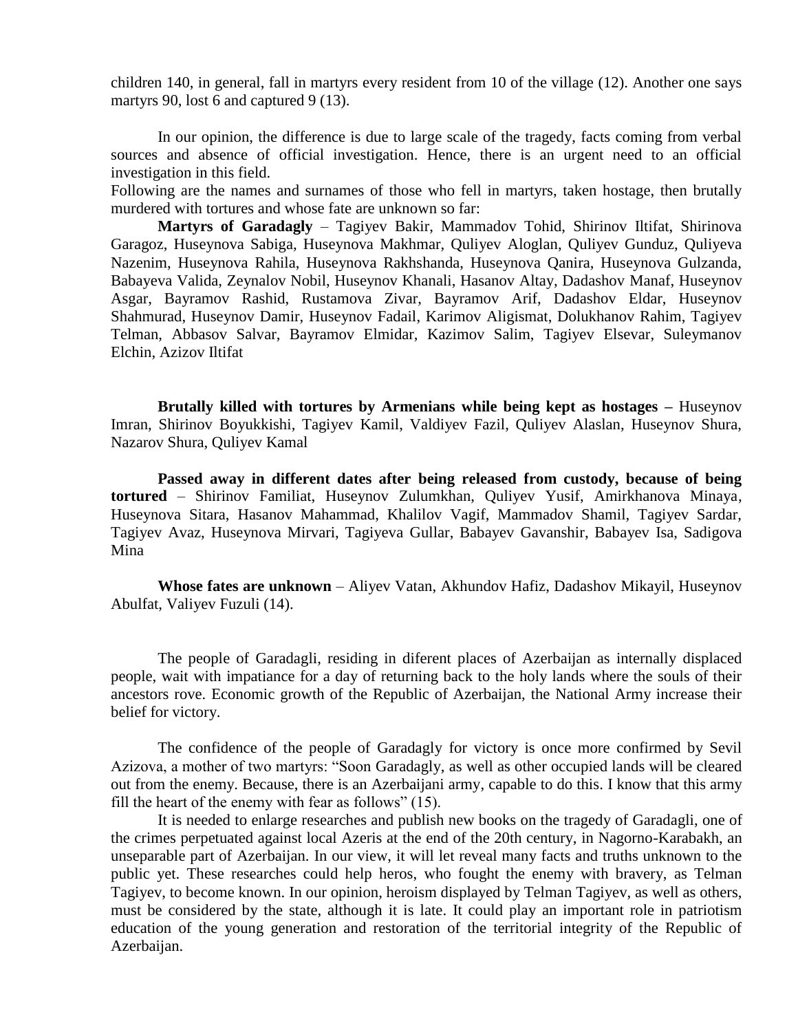children 140, in general, fall in martyrs every resident from 10 of the village (12). Another one says martyrs 90, lost 6 and captured 9 (13).

In our opinion, the difference is due to large scale of the tragedy, facts coming from verbal sources and absence of official investigation. Hence, there is an urgent need to an official investigation in this field.

Following are the names and surnames of those who fell in martyrs, taken hostage, then brutally murdered with tortures and whose fate are unknown so far:

**Martyrs of Garadagly** – Tagiyev Bakir, Mammadov Tohid, Shirinov Iltifat, Shirinova Garagoz, Huseynova Sabiga, Huseynova Makhmar, Quliyev Aloglan, Quliyev Gunduz, Quliyeva Nazenim, Huseynova Rahila, Huseynova Rakhshanda, Huseynova Qanira, Huseynova Gulzanda, Babayeva Valida, Zeynalov Nobil, Huseynov Khanali, Hasanov Altay, Dadashov Manaf, Huseynov Asgar, Bayramov Rashid, Rustamova Zivar, Bayramov Arif, Dadashov Eldar, Huseynov Shahmurad, Huseynov Damir, Huseynov Fadail, Karimov Aligismat, Dolukhanov Rahim, Tagiyev Telman, Abbasov Salvar, Bayramov Elmidar, Kazimov Salim, Tagiyev Elsevar, Suleymanov Elchin, Azizov Iltifat

**Brutally killed with tortures by Armenians while being kept as hostages –** Huseynov Imran, Shirinov Boyukkishi, Tagiyev Kamil, Valdiyev Fazil, Quliyev Alaslan, Huseynov Shura, Nazarov Shura, Quliyev Kamal

**Passed away in different dates after being released from custody, because of being tortured** – Shirinov Familiat, Huseynov Zulumkhan, Quliyev Yusif, Amirkhanova Minaya, Huseynova Sitara, Hasanov Mahammad, Khalilov Vagif, Mammadov Shamil, Tagiyev Sardar, Tagiyev Avaz, Huseynova Mirvari, Tagiyeva Gullar, Babayev Gavanshir, Babayev Isa, Sadigova Mina

**Whose fates are unknown** – Aliyev Vatan, Akhundov Hafiz, Dadashov Mikayil, Huseynov Abulfat, Valiyev Fuzuli (14).

The people of Garadagli, residing in diferent places of Azerbaijan as internally displaced people, wait with impatiance for a day of returning back to the holy lands where the souls of their ancestors rove. Economic growth of the Republic of Azerbaijan, the National Army increase their belief for victory.

The confidence of the people of Garadagly for victory is once more confirmed by Sevil Azizova, a mother of two martyrs: "Soon Garadagly, as well as other occupied lands will be cleared out from the enemy. Because, there is an Azerbaijani army, capable to do this. I know that this army fill the heart of the enemy with fear as follows" (15).

It is needed to enlarge researches and publish new books on the tragedy of Garadagli, one of the crimes perpetuated against local Azeris at the end of the 20th century, in Nagorno-Karabakh, an unseparable part of Azerbaijan. In our view, it will let reveal many facts and truths unknown to the public yet. These researches could help heros, who fought the enemy with bravery, as Telman Tagiyev, to become known. In our opinion, heroism displayed by Telman Tagiyev, as well as others, must be considered by the state, although it is late. It could play an important role in patriotism education of the young generation and restoration of the territorial integrity of the Republic of Azerbaijan.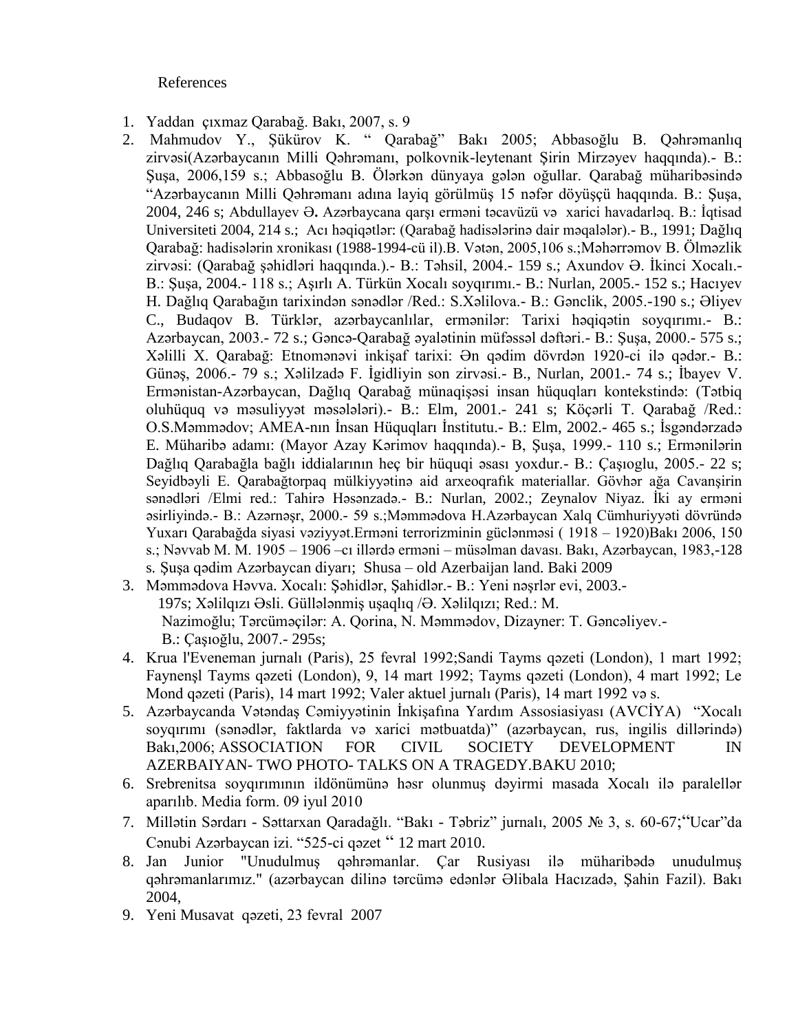References

- 1. Yaddan çıxmaz Qarabağ. Bakı, 2007, s. 9
- 2. Mahmudov Y., Şükürov K. " Qarabağ" Bakı 2005; Abbasoğlu B. Qəhrəmanlıq zirvəsi(Azərbaycanın Milli Qəhrəmanı, polkovnik-leytenant Şirin Mirzəyev haqqında).- B.: Şuşa, 2006,159 s.; Abbasoğlu B. Ölərkən dünyaya gələn oğullar. Qarabağ müharibəsində "Azərbaycanın Milli Qəhrəmanı adına layiq görülmüş 15 nəfər döyüşçü haqqında. B.: Şuşa, 2004, 246 s; Abdullayev Ə**.** Azərbaycana qarşı erməni təcavüzü və xarici havadarləq. B.: İqtisad Universiteti 2004, 214 s.; Acı həqiqətlər: (Qarabağ hadisələrinə dair məqalələr).- B., 1991; Dağlıq Qarabağ: hadisələrin xronikası (1988-1994-cü il).B. Vətən, 2005,106 s.;Məhərrəmov B. Ölməzlik zirvəsi: (Qarabağ şəhidləri haqqında.).- B.: Təhsil, 2004.- 159 s.; Axundov Ə. İkinci Xocalı.- B.: Şuşa, 2004.- 118 s.; Aşırlı A. Türkün Xocalı soyqırımı.- B.: Nurlan, 2005.- 152 s.; Hacıyev H. Dağlıq Qarabağın tarixindən sənədlər /Red.: S.Xəlilova.- B.: Gənclik, 2005.-190 s.; Əliyev C., Budaqov B. Türklər, azərbaycanlılar, ermənilər: Tarixi həqiqətin soyqırımı.- B.: Azərbaycan, 2003.- 72 s.; Gəncə-Qarabağ əyalətinin müfəssəl dəftəri.- B.: Şuşa, 2000.- 575 s.; Xəlilli X. Qarabağ: Etnomənəvi inkişaf tarixi: Ən qədim dövrdən 1920-ci ilə qədər.- B.: Günəş, 2006.- 79 s.; Xəlilzadə F. İgidliyin son zirvəsi.- B., Nurlan, 2001.- 74 s.; İbayev V. Ermənistan-Azərbaycan, Dağlıq Qarabağ münaqişəsi insan hüquqları kontekstində: (Tətbiq oluhüquq və məsuliyyət məsələləri).- B.: Elm, 2001.- 241 s; Köçərli T. Qarabağ /Red.: O.S.Məmmədov; AMEA-nın İnsan Hüquqları İnstitutu.- B.: Elm, 2002.- 465 s.; İsgəndərzadə E. Müharibə adamı: (Mayor Azay Kərimov haqqında).- B, Şuşa, 1999.- 110 s.; Ermənilərin Dağlıq Qarabağla bağlı iddialarının heç bir hüquqi əsası yoxdur.- B.: Çaşıoglu, 2005.- 22 s; Seyidbəyli E. Qarabağtorpaq mülkiyyətinə aid arxeoqrafık materiallar. Gövhər ağa Cavanşirin sənədləri /Elmi red.: Tahirə Həsənzadə.- B.: Nurlan, 2002.; Zeynalov Niyaz. İki ay erməni əsirliyində.- B.: Azərnəşr, 2000.- 59 s.;Məmmədova H.Azərbaycan Xalq Cümhuriyyəti dövründə Yuxarı Qarabağda siyasi vəziyyət.Erməni terrorizminin güclənməsi ( 1918 – 1920)Bakı 2006, 150 s.; Nəvvab M. M. 1905 – 1906 –cı illərdə erməni – müsəlman davası. Bakı, Azərbaycan, 1983,-128 s. Şuşa qədim Azərbaycan diyarı; Shusa – old Azerbaijan land. Baki 2009
- 3. Məmmədova Həvva. [Xocalı: Şəhidlər, Şahidlər.-](http://www.anl.az./el/m/xocali_az.pdf) B.: Yeni nəşrlər evi, 2003.-

 197s; Xəlilqızı Əsli. Güllələnmiş uşaqlıq /Ə. Xəlilqızı; Red.: M. Nazimoğlu; Tərcüməçilər: A. Qorina, N. Məmmədov, Dizayner: T. Gəncəliyev.- B.: Çaşıoğlu, 2007.- 295s;

- 4. Krua l'Eveneman jurnalı (Paris), 25 fevral 1992;Sandi Tayms qəzeti (London), 1 mart 1992; Faynenşl Tayms qəzeti (London), 9, 14 mart 1992; Tayms qəzeti (London), 4 mart 1992; Le Mond qəzeti (Paris), 14 mart 1992; Valer aktuel jurnalı (Paris), 14 mart 1992 və s.
- 5. Azərbaycanda Vətəndaş Cəmiyyətinin İnkişafına Yardım Assosiasiyası (AVCİYA) "Xocalı soyqırımı (sənədlər, faktlarda və xarici mətbuatda)" (azərbaycan, rus, ingilis dillərində) Bakı,2006; ASSOCIATION FOR CIVIL SOCIETY DEVELOPMENT IN AZERBAIYAN- TWO PHOTO- TALKS ON A TRAGEDY.BAKU 2010;
- 6. Srebrenitsa soyqırımının ildönümünə həsr olunmuş dəyirmi masada Xocalı ilə paralellər aparılıb. Media form. 09 iyul 2010
- 7. Millətin Sərdarı Səttarxan Qaradağlı. "Bakı Təbriz" jurnalı, 2005 № 3, s. 60-67;"Ucar"da Cənubi Azərbaycan izi. "525-ci qəzet " 12 mart 2010.
- 8. Jan Junior "Unudulmuş qəhrəmanlar. Çar Rusiyası ilə müharibədə unudulmuş qəhrəmanlarımız." (azərbaycan dilinə tərcümə edənlər Əlibala Hacızadə, Şahin Fazil). Bakı 2004,
- 9. Yeni Musavat qəzeti, 23 fevral 2007